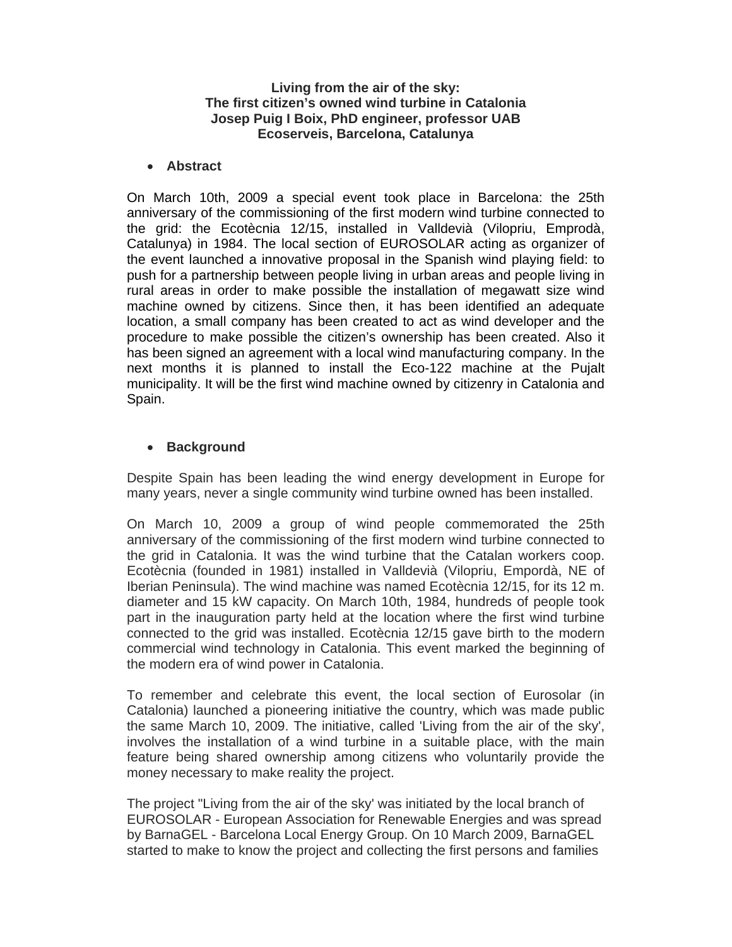#### **Living from the air of the sky: The first citizen's owned wind turbine in Catalonia Josep Puig I Boix, PhD engineer, professor UAB Ecoserveis, Barcelona, Catalunya**

#### **Abstract**

On March 10th, 2009 a special event took place in Barcelona: the 25th anniversary of the commissioning of the first modern wind turbine connected to the grid: the Ecotècnia 12/15, installed in Valldevià (Vilopriu, Emprodà, Catalunya) in 1984. The local section of EUROSOLAR acting as organizer of the event launched a innovative proposal in the Spanish wind playing field: to push for a partnership between people living in urban areas and people living in rural areas in order to make possible the installation of megawatt size wind machine owned by citizens. Since then, it has been identified an adequate location, a small company has been created to act as wind developer and the procedure to make possible the citizen's ownership has been created. Also it has been signed an agreement with a local wind manufacturing company. In the next months it is planned to install the Eco-122 machine at the Pujalt municipality. It will be the first wind machine owned by citizenry in Catalonia and Spain.

### **Background**

Despite Spain has been leading the wind energy development in Europe for many years, never a single community wind turbine owned has been installed.

On March 10, 2009 a group of wind people commemorated the 25th anniversary of the commissioning of the first modern wind turbine connected to the grid in Catalonia. It was the wind turbine that the Catalan workers coop. Ecotècnia (founded in 1981) installed in Valldevià (Vilopriu, Empordà, NE of Iberian Peninsula). The wind machine was named Ecotècnia 12/15, for its 12 m. diameter and 15 kW capacity. On March 10th, 1984, hundreds of people took part in the inauguration party held at the location where the first wind turbine connected to the grid was installed. Ecotècnia 12/15 gave birth to the modern commercial wind technology in Catalonia. This event marked the beginning of the modern era of wind power in Catalonia.

To remember and celebrate this event, the local section of Eurosolar (in Catalonia) launched a pioneering initiative the country, which was made public the same March 10, 2009. The initiative, called 'Living from the air of the sky', involves the installation of a wind turbine in a suitable place, with the main feature being shared ownership among citizens who voluntarily provide the money necessary to make reality the project.

The project "Living from the air of the sky' was initiated by the local branch of EUROSOLAR - European Association for Renewable Energies and was spread by BarnaGEL - Barcelona Local Energy Group. On 10 March 2009, BarnaGEL started to make to know the project and collecting the first persons and families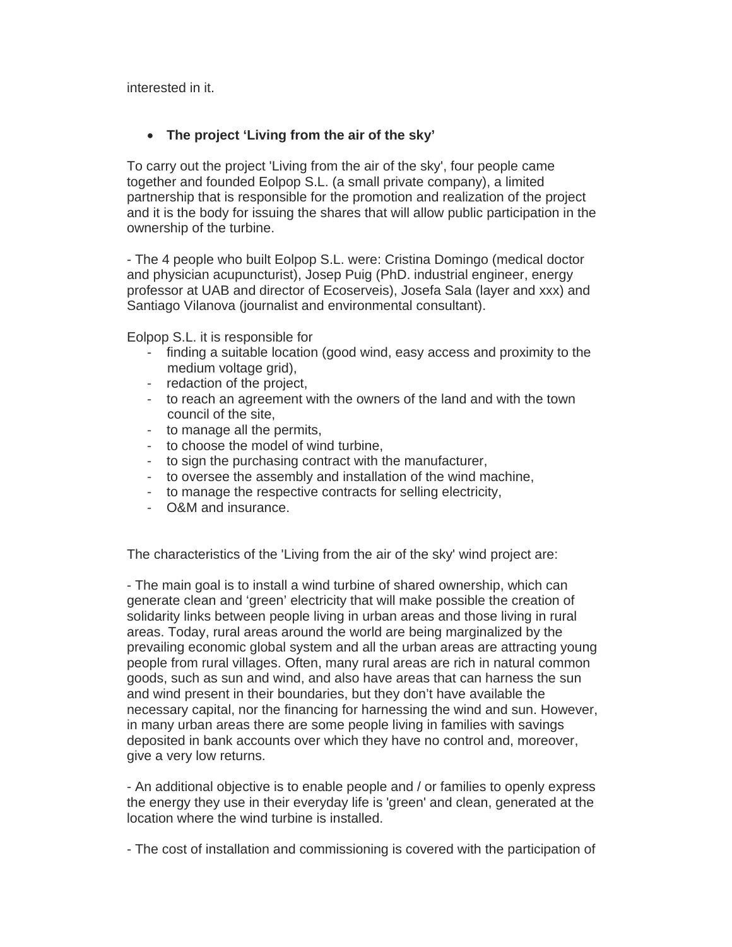interested in it.

## **The project 'Living from the air of the sky'**

To carry out the project 'Living from the air of the sky', four people came together and founded Eolpop S.L. (a small private company), a limited partnership that is responsible for the promotion and realization of the project and it is the body for issuing the shares that will allow public participation in the ownership of the turbine.

- The 4 people who built Eolpop S.L. were: Cristina Domingo (medical doctor and physician acupuncturist), Josep Puig (PhD. industrial engineer, energy professor at UAB and director of Ecoserveis), Josefa Sala (layer and xxx) and Santiago Vilanova (journalist and environmental consultant).

Eolpop S.L. it is responsible for

- finding a suitable location (good wind, easy access and proximity to the medium voltage grid),
- redaction of the project,
- to reach an agreement with the owners of the land and with the town council of the site,
- to manage all the permits,
- to choose the model of wind turbine,
- to sign the purchasing contract with the manufacturer,
- to oversee the assembly and installation of the wind machine,
- to manage the respective contracts for selling electricity,
- O&M and insurance.

The characteristics of the 'Living from the air of the sky' wind project are:

- The main goal is to install a wind turbine of shared ownership, which can generate clean and 'green' electricity that will make possible the creation of solidarity links between people living in urban areas and those living in rural areas. Today, rural areas around the world are being marginalized by the prevailing economic global system and all the urban areas are attracting young people from rural villages. Often, many rural areas are rich in natural common goods, such as sun and wind, and also have areas that can harness the sun and wind present in their boundaries, but they don't have available the necessary capital, nor the financing for harnessing the wind and sun. However, in many urban areas there are some people living in families with savings deposited in bank accounts over which they have no control and, moreover, give a very low returns.

- An additional objective is to enable people and / or families to openly express the energy they use in their everyday life is 'green' and clean, generated at the location where the wind turbine is installed.

- The cost of installation and commissioning is covered with the participation of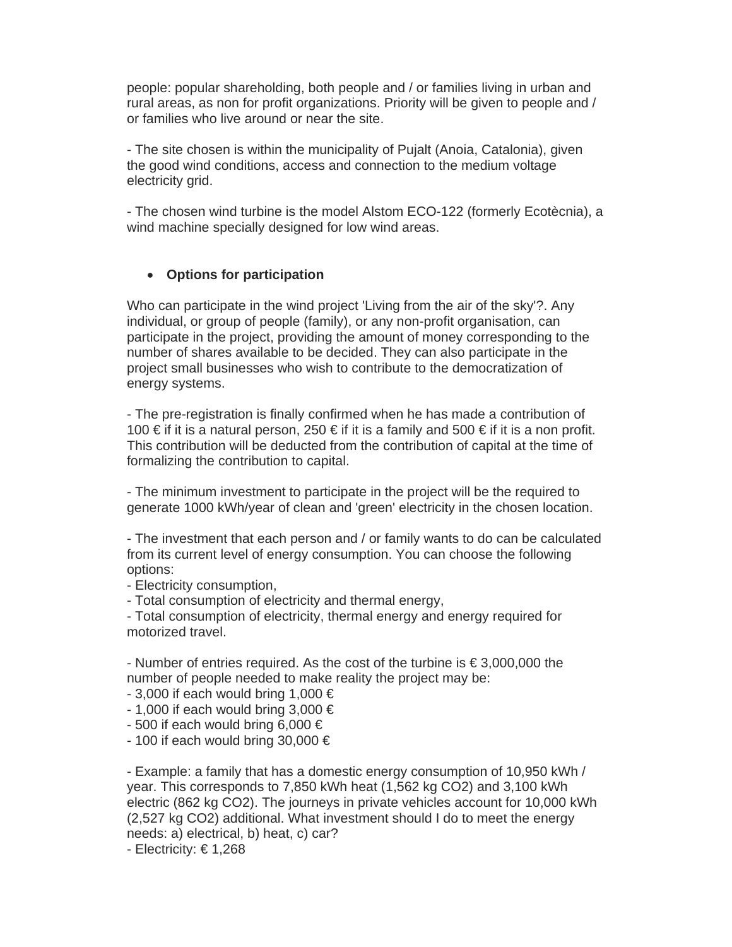people: popular shareholding, both people and / or families living in urban and rural areas, as non for profit organizations. Priority will be given to people and / or families who live around or near the site.

- The site chosen is within the municipality of Pujalt (Anoia, Catalonia), given the good wind conditions, access and connection to the medium voltage electricity grid.

- The chosen wind turbine is the model Alstom ECO-122 (formerly Ecotècnia), a wind machine specially designed for low wind areas.

### **Options for participation**

Who can participate in the wind project 'Living from the air of the sky'?. Any individual, or group of people (family), or any non-profit organisation, can participate in the project, providing the amount of money corresponding to the number of shares available to be decided. They can also participate in the project small businesses who wish to contribute to the democratization of energy systems.

- The pre-registration is finally confirmed when he has made a contribution of 100 € if it is a natural person, 250 € if it is a family and 500 € if it is a non profit. This contribution will be deducted from the contribution of capital at the time of formalizing the contribution to capital.

- The minimum investment to participate in the project will be the required to generate 1000 kWh/year of clean and 'green' electricity in the chosen location.

- The investment that each person and / or family wants to do can be calculated from its current level of energy consumption. You can choose the following options:

- Electricity consumption,

- Total consumption of electricity and thermal energy,

- Total consumption of electricity, thermal energy and energy required for motorized travel.

- Number of entries required. As the cost of the turbine is € 3,000,000 the number of people needed to make reality the project may be:

- $-3,000$  if each would bring 1,000  $\in$
- $-$  1,000 if each would bring 3,000  $\in$
- $-500$  if each would bring 6,000  $\in$
- $-$  100 if each would bring 30,000  $\in$

- Example: a family that has a domestic energy consumption of 10,950 kWh / year. This corresponds to 7,850 kWh heat (1,562 kg CO2) and 3,100 kWh electric (862 kg CO2). The journeys in private vehicles account for 10,000 kWh (2,527 kg CO2) additional. What investment should I do to meet the energy needs: a) electrical, b) heat, c) car?

- Electricity: € 1,268